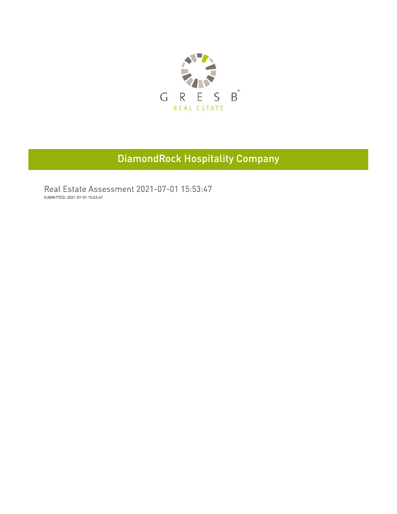

## **DiamondRock Hospitality Company**

Real Estate Assessment 2021-07-01 15:53:47 SUBMITTED: 2021-07-01 15:53:47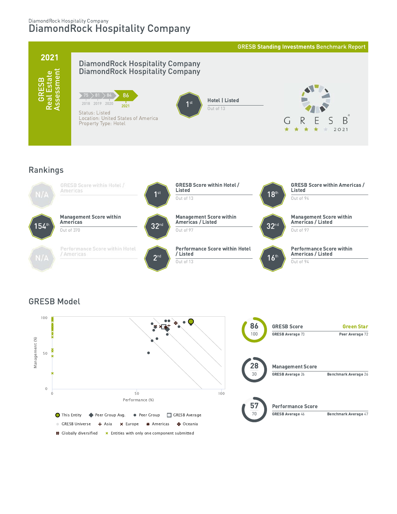### DiamondRock Hospitality Company DiamondRock Hospitality Company



### Rankings



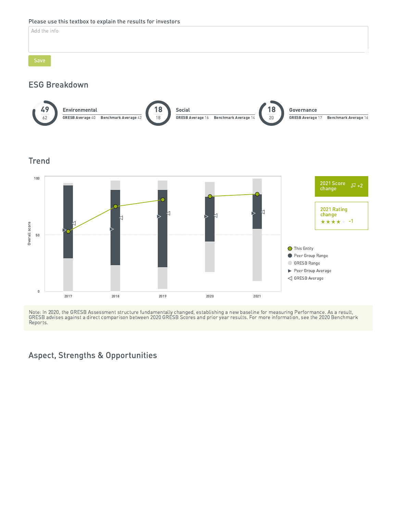### Please use this textbox to explain the results for investors

Add the info

### **ESG Breakdown**



### **Trend**



Note: In 2020, the GRESB Assessment structure fundamentally changed, establishing a new baseline for measuring Performance. As a result,<br>GRESB advises against a direct comparison between 2020 GRESB Scores and prior year re Reports.

### **Aspect, Strengths & Opportunities**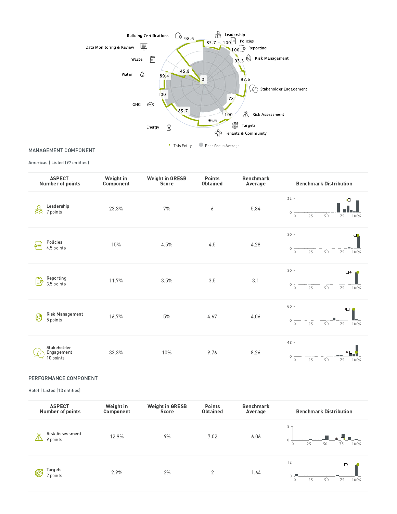

Peer Group Average • This Entity

MANAGEMENT COMPONENT

Americas | Listed (97 entities)

| <b>ASPECT</b><br><b>Number of points</b>       | Weight in<br>Component | <b>Weight in GRESB</b><br>Score | <b>Points</b><br><b>Obtained</b> | <b>Benchmark</b><br>Average | <b>Benchmark Distribution</b>                                                          |
|------------------------------------------------|------------------------|---------------------------------|----------------------------------|-----------------------------|----------------------------------------------------------------------------------------|
| Leadership<br>$\frac{Q}{\Omega Q}$<br>7 points | 23.3%                  | 7%                              | 6                                | 5.84                        | 32<br>$\blacksquare$<br>$\mathbf{0}$<br>100%<br>50<br>25<br>75<br>$\mathbf{0}$         |
| Policies<br>க்≡<br>4.5 points                  | 15%                    | 4.5%                            | 4.5                              | 4.28                        | 80<br>o<br>$\mathbf{0}$<br>100%<br>25<br>50<br>75<br>$\theta$                          |
| Reporting<br>ျိုခဲ့<br>3.5 points              | 11.7%                  | 3.5%                            | 3.5                              | 3.1                         | 80<br>$\square\blacklozenge$<br>$\mathbf{0}$<br>100%<br>75<br>25<br>50<br>$\mathbf{0}$ |
| <b>Risk Management</b><br>₾<br>5 points        | 16.7%                  | 5%                              | 4.67                             | 4.06                        | 60<br>$\blacksquare$<br>$\mathbf 0$<br>100%<br>25<br>50<br>75<br>$\circ$               |
| Stakeholder<br>Engagement<br>10 points         | 33.3%                  | 10%                             | 9.76                             | 8.26                        | 48<br>$\mathbf{0}$<br>25<br>100%<br>50<br>75<br>$\mathbf{0}$                           |

### PERFORMANCE COMPONENT

Hotel | Listed (13 entities)

| <b>ASPECT</b><br>Number of points       | Weight in<br>Component | <b>Weight in GRESB</b><br>Score | <b>Points</b><br><b>Obtained</b> | <b>Benchmark</b><br>Average | <b>Benchmark Distribution</b>            |
|-----------------------------------------|------------------------|---------------------------------|----------------------------------|-----------------------------|------------------------------------------|
| <b>Risk Assessment</b><br>⋇<br>9 points | 12.9%                  | 9%                              | 7.02                             | 6.06                        | 8 <sub>7</sub><br>100%<br>75<br>50<br>25 |
| Targets<br>C<br>2 points                | 2.9%                   | 2%                              | $\overline{2}$                   | 1.64                        | 12<br>⋻<br>100%<br>75<br>25<br>50        |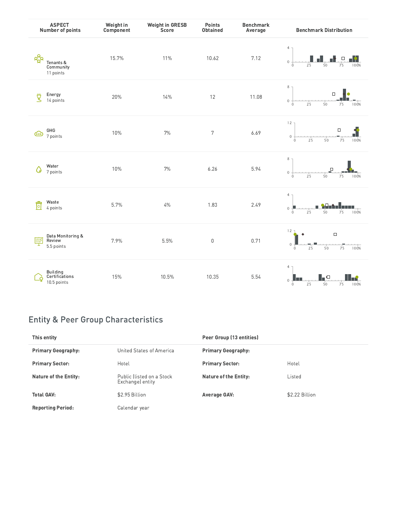|                     | <b>ASPECT</b><br>Number of points         | Weight in<br>Component | <b>Weight in GRESB</b><br>Score | Points<br><b>Obtained</b> | <b>Benchmark</b><br>Average | <b>Benchmark Distribution</b>                                                            |
|---------------------|-------------------------------------------|------------------------|---------------------------------|---------------------------|-----------------------------|------------------------------------------------------------------------------------------|
| $R_{\rm R}^{\rm A}$ | Tenants &<br>Community<br>11 points       | 15.7%                  | 11%                             | 10.62                     | 7.12                        | $4 -$<br>$\Box$<br>$\mathbf 0$<br>75<br>100%<br>25<br>50<br>$\theta$                     |
| ₫                   | Energy<br>14 points                       | 20%                    | 14%                             | 12                        | 11.08                       | $\,$ 8 $\,$<br>$\Box$<br>$\,0\,$<br>25<br>50<br>75<br>100%<br>$\Omega$                   |
| GHG<br>$\bigcirc$   | 7 points                                  | 10%                    | $7\%$                           | 7                         | 6.69                        | $12 -$<br>$\Box$<br>$\,0\,$<br>75<br>50<br>100%<br>25<br>$\mathbf{0}$                    |
| Q                   | Water<br>7 points                         | 10%                    | $7\%$                           | 6.26                      | 5.94                        | $\,$ 8 $\,$<br>$\Box$<br>$\mathbf 0$<br>100%<br>25<br>50<br>75<br>$\circ$                |
| 同                   | Waste<br>4 points                         | 5.7%                   | $4\%$                           | 1.83                      | 2.49                        | $\overline{4}$<br>$\mathbb O$<br>100%<br>25<br>50<br>75<br>$\overline{0}$                |
| 厚                   | Data Monitoring &<br>Review<br>5.5 points | 7.9%                   | 5.5%                            | $\boldsymbol{0}$          | 0.71                        | $12 -$<br>$\Box$<br>$\,0\,$<br>25<br>50<br>75<br>100%<br>$\mathbf{0}$                    |
|                     | Building<br>Certifications<br>10.5 points | 15%                    | 10.5%                           | 10.35                     | 5.54                        | $\overline{4}$<br>l o<br>ll në<br>$\mathbf{0}$<br>25<br>50<br>75<br>100%<br>$\mathbf{0}$ |

## Entity & Peer Group Characteristics

| w<br>Review<br>5.5 points                                     | 7.9%                                          | 5.5%  | $\mathbf 0$                  | 0.71 | $\mathbf{0}$<br>$\Omega$ | 25 | 50       | 75 | 100% |
|---------------------------------------------------------------|-----------------------------------------------|-------|------------------------------|------|--------------------------|----|----------|----|------|
| <b>Building</b><br>Certifications<br>10.5 points              | 15%                                           | 10.5% | 10.35                        | 5.54 | 4<br>$\Omega$            | 25 | ⊩∘<br>50 | 75 | 100% |
|                                                               |                                               |       |                              |      |                          |    |          |    |      |
| <b>Entity &amp; Peer Group Characteristics</b><br>This entity |                                               |       | Peer Group (13 entities)     |      |                          |    |          |    |      |
| <b>Primary Geography:</b>                                     | <b>United States of America</b>               |       | <b>Primary Geography:</b>    |      |                          |    |          |    |      |
| <b>Primary Sector:</b>                                        | Hotel                                         |       | <b>Primary Sector:</b>       |      | Hotel                    |    |          |    |      |
| <b>Nature of the Entity:</b>                                  | Public (listed on a Stock<br>Exchange) entity |       | <b>Nature of the Entity:</b> |      | Listed                   |    |          |    |      |
| <b>Total GAV:</b>                                             | \$2.95 Billion                                |       | <b>Average GAV:</b>          |      | \$2.22 Billion           |    |          |    |      |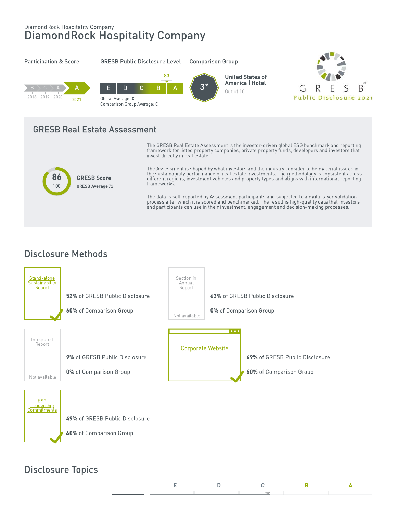# DiamondRock Hospitality Company<br>DiamondRock Hospitality Company



## **Disclosure Methods**



## **Disclosure Topics**